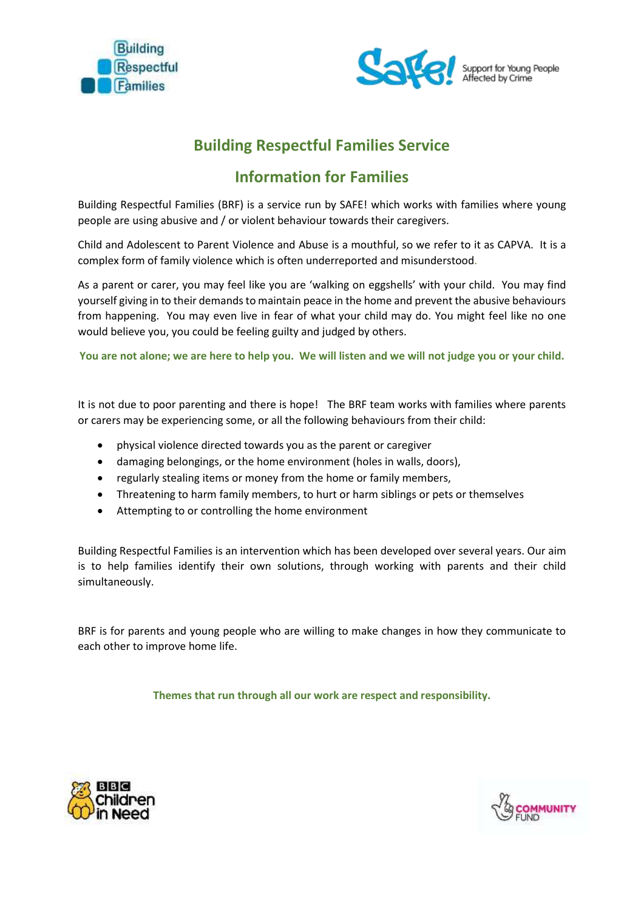



## **Building Respectful Families Service**

# **Information for Families**

Building Respectful Families (BRF) is a service run by SAFE! which works with families where young people are using abusive and / or violent behaviour towards their caregivers.

Child and Adolescent to Parent Violence and Abuse is a mouthful, so we refer to it as CAPVA. It is a complex form of family violence which is often underreported and misunderstood.

As a parent or carer, you may feel like you are 'walking on eggshells' with your child. You may find yourself giving in to their demands to maintain peace in the home and prevent the abusive behaviours from happening. You may even live in fear of what your child may do. You might feel like no one would believe you, you could be feeling guilty and judged by others.

**You are not alone; we are here to help you. We will listen and we will not judge you or your child.**

It is not due to poor parenting and there is hope! The BRF team works with families where parents or carers may be experiencing some, or all the following behaviours from their child:

- physical violence directed towards you as the parent or caregiver
- damaging belongings, or the home environment (holes in walls, doors),
- regularly stealing items or money from the home or family members,
- Threatening to harm family members, to hurt or harm siblings or pets or themselves
- Attempting to or controlling the home environment

Building Respectful Families is an intervention which has been developed over several years. Our aim is to help families identify their own solutions, through working with parents and their child simultaneously.

BRF is for parents and young people who are willing to make changes in how they communicate to each other to improve home life.

**Themes that run through all our work are respect and responsibility.**